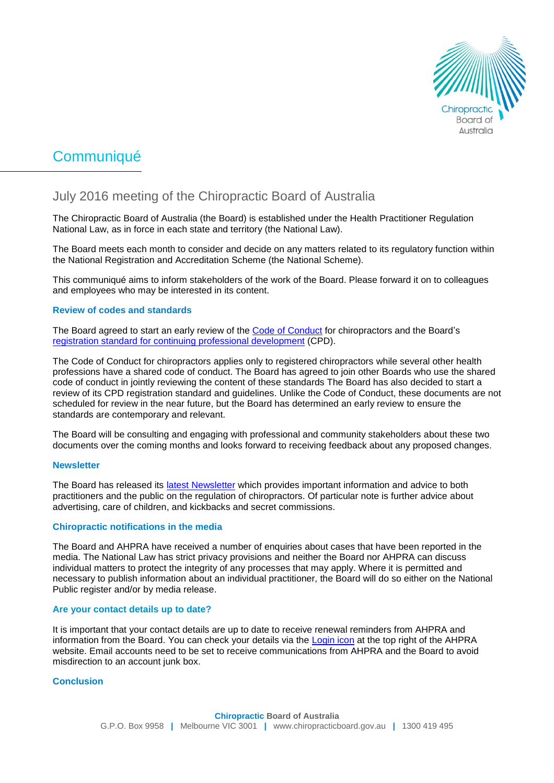

# Communiqué

# July 2016 meeting of the Chiropractic Board of Australia

The Chiropractic Board of Australia (the Board) is established under the Health Practitioner Regulation National Law, as in force in each state and territory (the National Law).

The Board meets each month to consider and decide on any matters related to its regulatory function within the National Registration and Accreditation Scheme (the National Scheme).

This communiqué aims to inform stakeholders of the work of the Board. Please forward it on to colleagues and employees who may be interested in its content.

## **Review of codes and standards**

The Board agreed to start an early review of the [Code of](http://www.chiropracticboard.gov.au/Codes-guidelines/Code-of-conduct.aspx) Conduct for chiropractors and the Board's registration standard [for continuing professional development](http://www.chiropracticboard.gov.au/Registration-standards.aspx) (CPD).

The Code of Conduct for chiropractors applies only to registered chiropractors while several other health professions have a shared code of conduct. The Board has agreed to join other Boards who use the shared code of conduct in jointly reviewing the content of these standards The Board has also decided to start a review of its CPD registration standard and guidelines. Unlike the Code of Conduct, these documents are not scheduled for review in the near future, but the Board has determined an early review to ensure the standards are contemporary and relevant.

The Board will be consulting and engaging with professional and community stakeholders about these two documents over the coming months and looks forward to receiving feedback about any proposed changes.

#### **Newsletter**

The Board has released its [latest Newsletter](http://www.chiropracticboard.gov.au/News/Newsletters/July-2016.aspx) which provides important information and advice to both practitioners and the public on the regulation of chiropractors. Of particular note is further advice about advertising, care of children, and kickbacks and secret commissions.

#### **Chiropractic notifications in the media**

The Board and AHPRA have received a number of enquiries about cases that have been reported in the media. The National Law has strict privacy provisions and neither the Board nor AHPRA can discuss individual matters to protect the integrity of any processes that may apply. Where it is permitted and necessary to publish information about an individual practitioner, the Board will do so either on the National Public register and/or by media release.

#### **Are your contact details up to date?**

It is important that your contact details are up to date to receive renewal reminders from AHPRA and information from the Board. You can check your details via the [Login icon](https://www.ahpra.gov.au/) at the top right of the AHPRA website. Email accounts need to be set to receive communications from AHPRA and the Board to avoid misdirection to an account junk box.

#### **Conclusion**